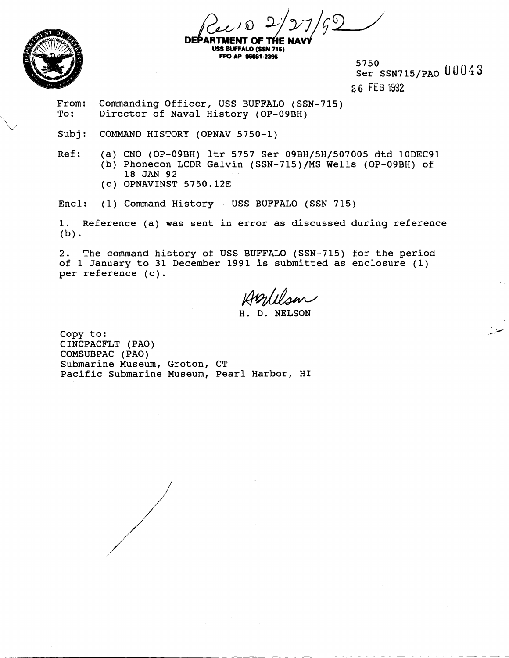



**DEPART MENT OF 1 USS BUFFALO (SSN 715)** FPO AP 96661-2395

5750 Ser SSN7 15/PAO **U** 0 0 4 **3** 

2.6 FEB 1992

From: Commanding Officer, USS BUFFALO (SSN-715)<br>To: Director of Naval History (OP-09BH) Director of Naval History (OP-09BH)

Subj: COMMAND HISTORY (OPNAV 5750-1)

- Ref: (a) CNO (OP-09BH) ltr 5757 Ser 09BH/5H/507005 dtd 10DEC91 (b) Phonecon LCDR Galvin (SSN-715)/MS Wells (OP-09BH) of 18 JAN 92
	- (c) OPNAVINST 5750.12E

Encl: (1) Command History - USS BUFFALO (SSN-715)

1. Reference (a) was sent in error as discussed during reference **(b)** 

2. The command history of USS BUFFALO (SSN-715) for the period of 1 January to 31 December 1991 is submitted as enclosure (1) per reference (c).

H. D. NELSON

Copy to: CINCPACFLT (PAO) COMSUBPAC (PAO) Submarine Museum, Groton, CT Pacific Submarine Museum, Pearl Harbor, HI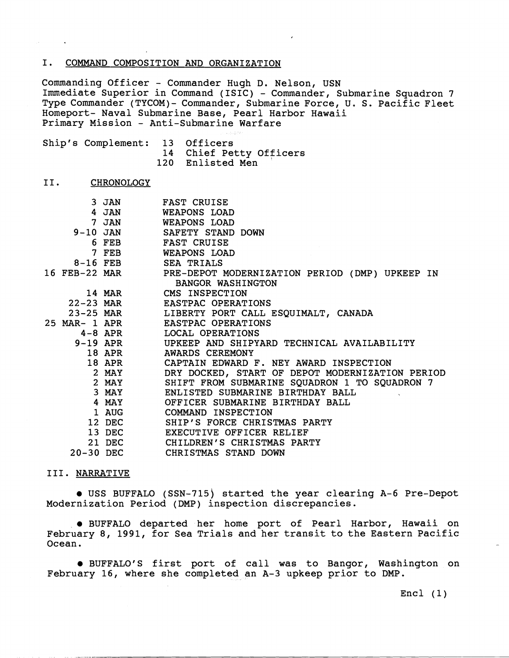## I. COMMAND COMPOSITION AND ORGANIZATION

Commanding Officer - Commander Hugh D. Nelson, USN Immediate Superior in Command (ISIC) - Commander, Submarine Squadron 7 Type Commander (TYC0M)- Commander, Submarine Force, U. S. Pacific Fleet Homeport- Naval Submarine Base, Pearl Harbor Hawaii Primary Mission - Anti-Submarine Warfare

| Ship's Complement: 13 Officers |                         |
|--------------------------------|-------------------------|
|                                | 14 Chief Petty Officers |
|                                | 120 Enlisted Men        |

#### II. **CHRONOLOGY**

|               | 3 JAN       | <b>FAST CRUISE</b>                                           |
|---------------|-------------|--------------------------------------------------------------|
|               | 4 JAN       | WEAPONS LOAD                                                 |
|               | 7 JAN       | <b>WEAPONS LOAD</b>                                          |
|               | $9-10$ JAN  | SAFETY STAND DOWN                                            |
|               | 6 FEB       | <b>FAST CRUISE</b>                                           |
|               | 7 FEB       | <b>WEAPONS LOAD</b>                                          |
|               | $8-16$ FEB  | <b>SEA TRIALS</b>                                            |
|               |             | 16 FEB-22 MAR PRE-DEPOT MODERNIZATION PERIOD (DMP) UPKEEP IN |
|               |             | <b>BANGOR WASHINGTON</b>                                     |
|               | 14 MAR      | CMS INSPECTION                                               |
|               | $22-23$ MAR | EASTPAC OPERATIONS                                           |
|               | $23-25$ MAR | LIBERTY PORT CALL ESQUIMALT, CANADA                          |
| 25 MAR- 1 APR |             | EASTPAC OPERATIONS                                           |
|               | $4-8$ APR   | LOCAL OPERATIONS                                             |
| $9-19$ APR    |             | UPKEEP AND SHIPYARD TECHNICAL AVAILABILITY                   |
|               | 18 APR      | <b>AWARDS CEREMONY</b>                                       |
|               | 18 APR      | CAPTAIN EDWARD F. NEY AWARD INSPECTION                       |
|               | 2 MAY       | DRY DOCKED, START OF DEPOT MODERNIZATION PERIOD              |
|               | $2$ MAY     | SHIFT FROM SUBMARINE SQUADRON 1 TO SQUADRON 7                |
|               | 3 MAY       | ENLISTED SUBMARINE BIRTHDAY BALL                             |
|               | 4 MAY       | OFFICER SUBMARINE BIRTHDAY BALL                              |
|               | 1 AUG       | COMMAND INSPECTION                                           |
|               | 12 DEC      | SHIP'S FORCE CHRISTMAS PARTY                                 |
|               | 13 DEC      | EXECUTIVE OFFICER RELIEF                                     |
|               | 21 DEC      | CHILDREN'S CHRISTMAS PARTY                                   |
| 20-30 DEC     |             | CHRISTMAS STAND DOWN                                         |

## 111. NARRATIVE

USS BUFFALO (SSN-715) started the year clearing A-6 Pre-Depot Modernization Period (DMP) inspection discrepancies.

BUFFALO departed her home port of Pearl Harbor, Hawaii on February 8, 1991, for Sea Trials and her transit to the Eastern Pacific Ocean.

BUFFALO'S first port of call was to Bangor, Washington on February 16, where she completed an A-3 upkeep prior to DMP.

 $\text{Encl} (1)$